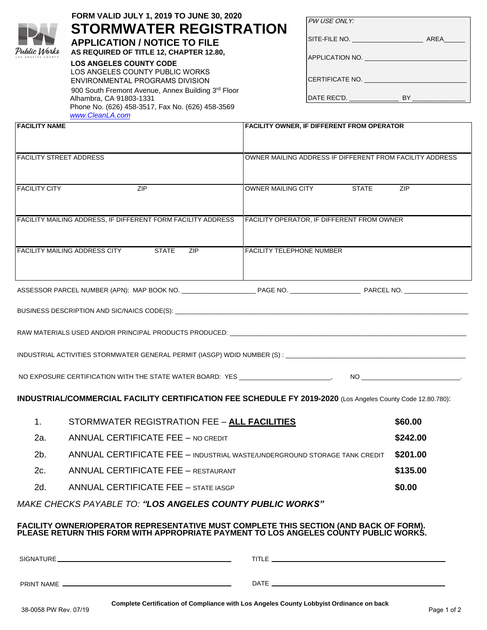| Public Works       |
|--------------------|
| LOS ANGELES COUNTY |

# **FORM VALID JULY 1, 2021 TO JUNE 30, 2022 STORMWATER REGISTRATION**

**APPLICATION / NOTICE TO FILE AS REQUIRED OF TITLE 12, CHAPTER 12.80,** 

#### **LOS ANGELES COUNTY CODE**

LOS ANGELES COUNTY PUBLIC WORKS ENVIRONMENTAL PROGRAMS DIVISION 900 South Fremont Avenue, Annex Building 3rd Floor Alhambra, CA 91803-1331 Phone No. (626) 458-3517, Fax No. (626) 458-3569 *[www.CleanLA.com](http://www.cleanla.com/)*

| PW USE ONLY: |  |
|--------------|--|
|              |  |

SITE-FILE NO. \_\_\_\_\_\_\_\_\_\_\_\_\_\_\_\_\_\_\_\_ AREA\_\_\_\_\_\_

APPLICATION NO.

CERTIFICATE NO.

DATE REC'D. \_\_\_\_\_\_\_\_\_\_\_\_\_\_ BY \_\_\_\_\_\_\_\_\_\_\_\_\_\_\_

| <b>FACILITY NAME</b>                                                                |                                                                                                             | <b>FACILITY OWNER, IF DIFFERENT FROM OPERATOR</b>        |          |
|-------------------------------------------------------------------------------------|-------------------------------------------------------------------------------------------------------------|----------------------------------------------------------|----------|
|                                                                                     | <b>FACILITY STREET ADDRESS</b>                                                                              | OWNER MAILING ADDRESS IF DIFFERENT FROM FACILITY ADDRESS |          |
|                                                                                     |                                                                                                             |                                                          |          |
| <b>FACILITY CITY</b>                                                                | ZIP                                                                                                         | OWNER MAILING CITY STATE                                 | ZIP      |
|                                                                                     | FACILITY MAILING ADDRESS, IF DIFFERENT FORM FACILITY ADDRESS                                                | FACILITY OPERATOR, IF DIFFERENT FROM OWNER               |          |
|                                                                                     |                                                                                                             |                                                          |          |
|                                                                                     | <b>FACILITY MAILING ADDRESS CITY</b> STATE ZIP                                                              | <b>FACILITY TELEPHONE NUMBER</b>                         |          |
|                                                                                     |                                                                                                             |                                                          |          |
|                                                                                     |                                                                                                             |                                                          |          |
|                                                                                     |                                                                                                             |                                                          |          |
|                                                                                     |                                                                                                             |                                                          |          |
|                                                                                     |                                                                                                             |                                                          |          |
|                                                                                     |                                                                                                             |                                                          |          |
|                                                                                     |                                                                                                             |                                                          |          |
|                                                                                     | INDUSTRIAL/COMMERCIAL FACILITY CERTIFICATION FEE SCHEDULE FY 2021-2022 (Los Angeles County Code 12.80.780): |                                                          |          |
| 1.                                                                                  | STORMWATER REGISTRATION FEE - ALL FACILITIES                                                                |                                                          | \$64.00  |
| 2a.                                                                                 | <b>ANNUAL CERTIFICATE FEE - NO CREDIT</b>                                                                   |                                                          | \$253.00 |
| ANNUAL CERTIFICATE FEE - INDUSTRIAL WASTE/UNDERGROUND STORAGE TANK CREDIT<br>$2b$ . |                                                                                                             | \$211.00                                                 |          |
| 2c.                                                                                 | <b>ANNUAL CERTIFICATE FEE - RESTAURANT</b>                                                                  |                                                          | \$141.00 |

2d. ANNUAL CERTIFICATE FEE – STATE IASGP

*MAKE CHECKS PAYABLE TO: "LOS ANGELES COUNTY PUBLIC WORKS"*

#### **FACILITY OWNER/OPERATOR REPRESENTATIVE MUST COMPLETE THIS SECTION (AND BACK OF FORM). PLEASE RETURN THIS FORM WITH APPROPRIATE PAYMENT TO LOS ANGELES COUNTY PUBLIC WORKS.**

| Complete Certification of Compliance with Los Angeles County Lobbyist Ordinance on back |
|-----------------------------------------------------------------------------------------|
|                                                                                         |
|                                                                                         |

**\$0.00**